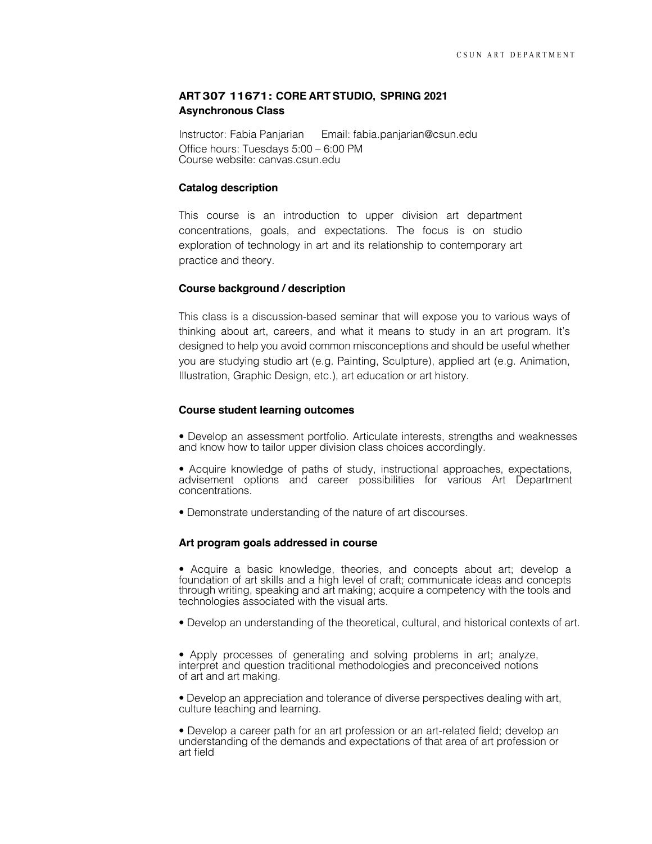# **ART 307 11671: CORE ART STUDIO, SPRING 2021 Asynchronous Class**

Instructor: Fabia Panjarian Email: fabia.panjarian@csun.edu Office hours: Tuesdays 5:00 – 6:00 PM Course website: canvas.csun.edu

## **Catalog description**

This course is an introduction to upper division art department concentrations, goals, and expectations. The focus is on studio exploration of technology in art and its relationship to contemporary art practice and theory.

#### **Course background / description**

This class is a discussion-based seminar that will expose you to various ways of thinking about art, careers, and what it means to study in an art program. It's designed to help you avoid common misconceptions and should be useful whether you are studying studio art (e.g. Painting, Sculpture), applied art (e.g. Animation, Illustration, Graphic Design, etc.), art education or art history.

#### **Course student learning outcomes**

• Develop an assessment portfolio. Articulate interests, strengths and weaknesses and know how to tailor upper division class choices accordingly.

• Acquire knowledge of paths of study, instructional approaches, expectations, advisement options and career possibilities for various Art Department concentrations.

• Demonstrate understanding of the nature of art discourses.

#### **Art program goals addressed in course**

• Acquire a basic knowledge, theories, and concepts about art; develop a foundation of art skills and a high level of craft; communicate ideas and concepts through writing, speaking and art making; acquire a competency with the tools and technologies associated with the visual arts.

• Develop an understanding of the theoretical, cultural, and historical contexts of art.

• Apply processes of generating and solving problems in art; analyze, interpret and question traditional methodologies and preconceived notions of art and art making.

• Develop an appreciation and tolerance of diverse perspectives dealing with art, culture teaching and learning.

• Develop a career path for an art profession or an art-related field; develop an understanding of the demands and expectations of that area of art profession or art field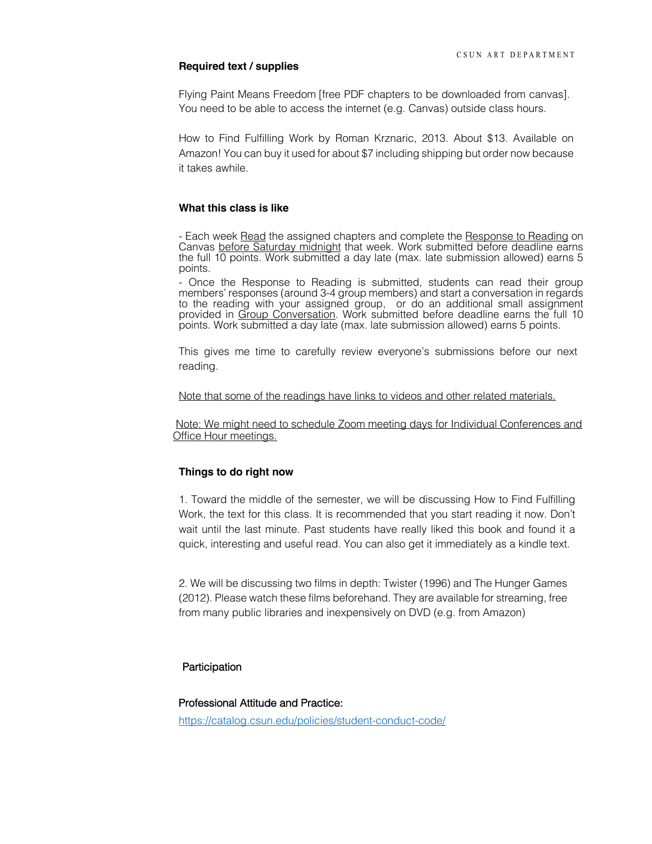#### **Required text / supplies**

Flying Paint Means Freedom [free PDF chapters to be downloaded from canvas]. You need to be able to access the internet (e.g. Canvas) outside class hours.

How to Find Fulfilling Work by Roman Krznaric, 2013. About \$13. Available on Amazon! You can buy it used for about \$7 including shipping but order now because it takes awhile.

## **What this class is like**

- Each week Read the assigned chapters and complete the Response to Reading on Canvas before Saturday midnight that week. Work submitted before deadline earns the full 10 points. Work submitted a day late (max. late submission allowed) earns 5 points.

- Once the Response to Reading is submitted, students can read their group members' responses (around 3-4 group members) and start a conversation in regards to the reading with your assigned group, or do an additional small assignment provided in Group Conversation. Work submitted before deadline earns the full 10 points. Work submitted a day late (max. late submission allowed) earns 5 points.

This gives me time to carefully review everyone's submissions before our next reading.

Note that some of the readings have links to videos and other related materials.

Note: We might need to schedule Zoom meeting days for Individual Conferences and Office Hour meetings.

## **Things to do right now**

1. Toward the middle of the semester, we will be discussing How to Find Fulfilling Work, the text for this class. It is recommended that you start reading it now. Don't wait until the last minute. Past students have really liked this book and found it a quick, interesting and useful read. You can also get it immediately as a kindle text.

2. We will be discussing two films in depth: Twister (1996) and The Hunger Games (2012). Please watch these films beforehand. They are available for streaming, free from many public libraries and inexpensively on DVD (e.g. from Amazon)

## Participation

#### Professional Attitude and Practice:

https://catalog.csun.edu/policies/student-conduct-code/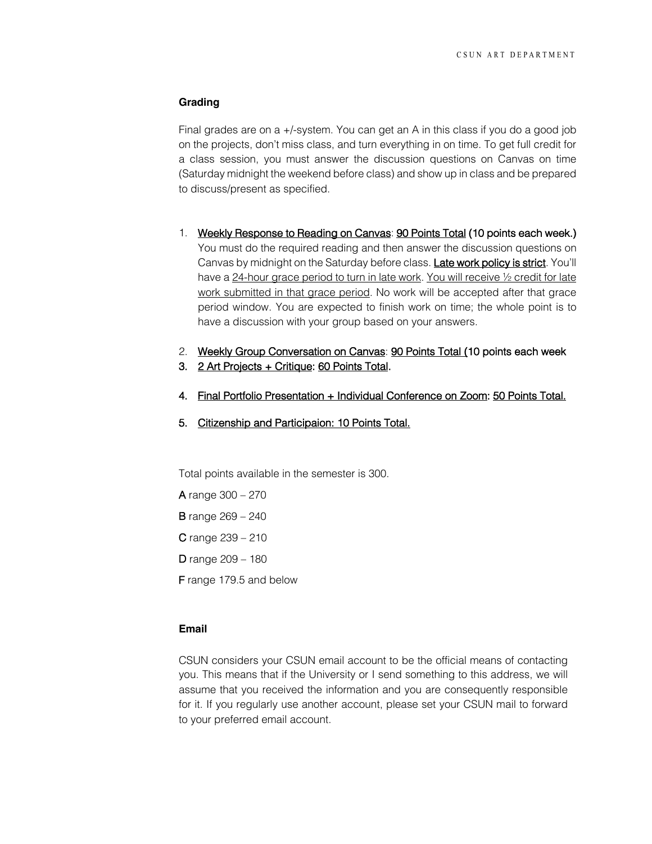## **Grading**

Final grades are on a +/-system. You can get an A in this class if you do a good job on the projects, don't miss class, and turn everything in on time. To get full credit for a class session, you must answer the discussion questions on Canvas on time (Saturday midnight the weekend before class) and show up in class and be prepared to discuss/present as specified.

- 1. Weekly Response to Reading on Canvas: 90 Points Total (10 points each week.) You must do the required reading and then answer the discussion questions on Canvas by midnight on the Saturday before class. Late work policy is strict. You'll have a 24-hour grace period to turn in late work. You will receive ½ credit for late work submitted in that grace period. No work will be accepted after that grace period window. You are expected to finish work on time; the whole point is to have a discussion with your group based on your answers.
- 2. Weekly Group Conversation on Canvas: 90 Points Total (10 points each week
- 3. 2 Art Projects + Critique: 60 Points Total.
- 4. Final Portfolio Presentation + Individual Conference on Zoom: 50 Points Total.
- 5. Citizenship and Participaion: 10 Points Total.

Total points available in the semester is 300.

A range 300 – 270

- B range 269 240
- C range 239 210
- D range 209 180

F range 179.5 and below

# **Email**

CSUN considers your CSUN email account to be the official means of contacting you. This means that if the University or I send something to this address, we will assume that you received the information and you are consequently responsible for it. If you regularly use another account, please set your CSUN mail to forward to your preferred email account.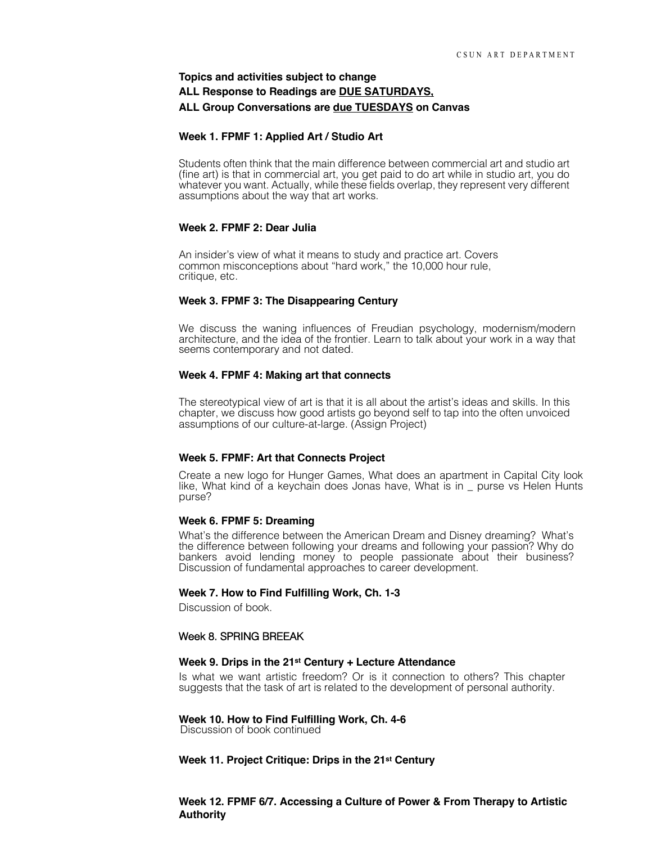# **Topics and activities subject to change ALL Response to Readings are DUE SATURDAYS, ALL Group Conversations are due TUESDAYS on Canvas**

#### **Week 1. FPMF 1: Applied Art / Studio Art**

Students often think that the main difference between commercial art and studio art (fine art) is that in commercial art, you get paid to do art while in studio art, you do whatever you want. Actually, while these fields overlap, they represent very different assumptions about the way that art works.

#### **Week 2. FPMF 2: Dear Julia**

An insider's view of what it means to study and practice art. Covers common misconceptions about "hard work," the 10,000 hour rule, critique, etc.

#### **Week 3. FPMF 3: The Disappearing Century**

We discuss the waning influences of Freudian psychology, modernism/modern architecture, and the idea of the frontier. Learn to talk about your work in a way that seems contemporary and not dated.

#### **Week 4. FPMF 4: Making art that connects**

The stereotypical view of art is that it is all about the artist's ideas and skills. In this chapter, we discuss how good artists go beyond self to tap into the often unvoiced assumptions of our culture-at-large. (Assign Project)

#### **Week 5. FPMF: Art that Connects Project**

Create a new logo for Hunger Games, What does an apartment in Capital City look like, What kind of a keychain does Jonas have, What is in \_ purse vs Helen Hunts purse?

#### **Week 6. FPMF 5: Dreaming**

What's the difference between the American Dream and Disney dreaming? What's the difference between following your dreams and following your passion? Why do bankers avoid lending money to people passionate about their business? Discussion of fundamental approaches to career development.

#### **Week 7. How to Find Fulfilling Work, Ch. 1-3**

Discussion of book.

#### Week 8. SPRING BREEAK

#### **Week 9. Drips in the 21st Century + Lecture Attendance**

Is what we want artistic freedom? Or is it connection to others? This chapter suggests that the task of art is related to the development of personal authority.

# **Week 10. How to Find Fulfilling Work, Ch. 4-6** Discussion of book continued

#### **Week 11. Project Critique: Drips in the 21st Century**

**Week 12. FPMF 6/7. Accessing a Culture of Power & From Therapy to Artistic Authority**